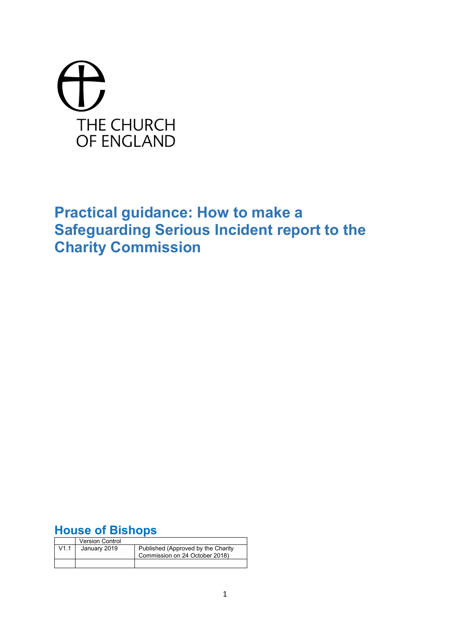# THE CHURCH OF ENGLAND

## **Practical guidance: How to make a Safeguarding Serious Incident report to the Charity Commission**

## **House of Bishops**

|      | <b>Version Control</b> |                                                                      |
|------|------------------------|----------------------------------------------------------------------|
| V1.1 | January 2019           | Published (Approved by the Charity<br>Commission on 24 October 2018) |
|      |                        |                                                                      |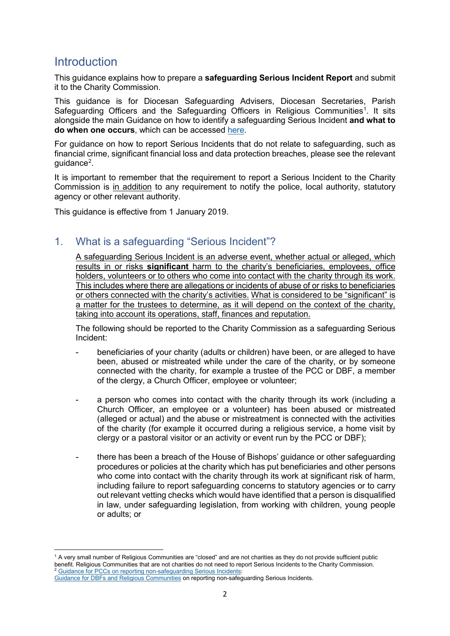## **Introduction**

**.** 

This guidance explains how to prepare a **safeguarding Serious Incident Report** and submit it to the Charity Commission.

This guidance is for Diocesan Safeguarding Advisers, Diocesan Secretaries, Parish Safeguarding Officers and the Safeguarding Officers in Religious Communities<sup>[1](#page-1-0)</sup>. It sits alongside the main Guidance on how to identify a safeguarding Serious Incident **and what to do when one occurs**, which can be accessed [here.](https://www.parishresources.org.uk/wp-content/uploads/Safeguarding-SIR-Guidance-FINAL-1-Jan-2019.pdf)

For guidance on how to report Serious Incidents that do not relate to safeguarding, such as financial crime, significant financial loss and data protection breaches, please see the relevant guidance<sup>[2](#page-1-1)</sup>.

It is important to remember that the requirement to report a Serious Incident to the Charity Commission is in addition to any requirement to notify the police, local authority, statutory agency or other relevant authority.

This guidance is effective from 1 January 2019.

## 1. What is a safeguarding "Serious Incident"?

A safeguarding Serious Incident is an adverse event, whether actual or alleged, which results in or risks **significant** harm to the charity's beneficiaries, employees, office holders, volunteers or to others who come into contact with the charity through its work. This includes where there are allegations or incidents of abuse of or risks to beneficiaries or others connected with the charity's activities. What is considered to be "significant" is a matter for the trustees to determine, as it will depend on the context of the charity, taking into account its operations, staff, finances and reputation.

The following should be reported to the Charity Commission as a safeguarding Serious Incident:

- beneficiaries of your charity (adults or children) have been, or are alleged to have been, abused or mistreated while under the care of the charity, or by someone connected with the charity, for example a trustee of the PCC or DBF, a member of the clergy, a Church Officer, employee or volunteer;
- a person who comes into contact with the charity through its work (including a Church Officer, an employee or a volunteer) has been abused or mistreated (alleged or actual) and the abuse or mistreatment is connected with the activities of the charity (for example it occurred during a religious service, a home visit by clergy or a pastoral visitor or an activity or event run by the PCC or DBF);
- there has been a breach of the House of Bishops' guidance or other safeguarding procedures or policies at the charity which has put beneficiaries and other persons who come into contact with the charity through its work at significant risk of harm, including failure to report safeguarding concerns to statutory agencies or to carry out relevant vetting checks which would have identified that a person is disqualified in law, under safeguarding legislation, from working with children, young people or adults; or

<span id="page-1-0"></span><sup>1</sup> A very small number of Religious Communities are "closed" and are not charities as they do not provide sufficient public benefit. Religious Communities that are not charities do not need to report Serious Incidents to the Charity Commission. <sup>2</sup> [Guidance for PCCs on reporting non-safeguarding Serious Incidents:](https://www.parishresources.org.uk/wp-content/uploads/SIR-Guidance-PCCs-Non-Safeguarding-FINAL-1-Jan-2018.pdf)

<span id="page-1-1"></span>[Guidance for DBFs and Religious Communities](https://www.parishresources.org.uk/wp-content/uploads/SIR-Guidance-DBFs-RCs-Non-Safeguarding-FINAL-1-Jan-2018.pdf) on reporting non-safeguarding Serious Incidents.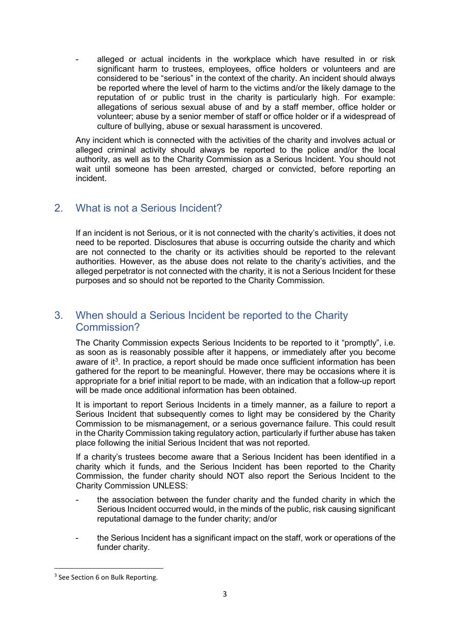alleged or actual incidents in the workplace which have resulted in or risk significant harm to trustees, employees, office holders or volunteers and are considered to be "serious" in the context of the charity. An incident should always be reported where the level of harm to the victims and/or the likely damage to the reputation of or public trust in the charity is particularly high. For example: allegations of serious sexual abuse of and by a staff member, office holder or volunteer; abuse by a senior member of staff or office holder or if a widespread of culture of bullying, abuse or sexual harassment is uncovered.

Any incident which is connected with the activities of the charity and involves actual or alleged criminal activity should always be reported to the police and/or the local authority, as well as to the Charity Commission as a Serious Incident. You should not wait until someone has been arrested, charged or convicted, before reporting an incident.

## 2. What is not a Serious Incident?

If an incident is not Serious, or it is not connected with the charity's activities, it does not need to be reported. Disclosures that abuse is occurring outside the charity and which are not connected to the charity or its activities should be reported to the relevant authorities. However, as the abuse does not relate to the charity's activities, and the alleged perpetrator is not connected with the charity, it is not a Serious Incident for these purposes and so should not be reported to the Charity Commission.

## 3. When should a Serious Incident be reported to the Charity Commission?

The Charity Commission expects Serious Incidents to be reported to it "promptly", i.e. as soon as is reasonably possible after it happens, or immediately after you become aware of it<sup>[3](#page-2-0)</sup>. In practice, a report should be made once sufficient information has been gathered for the report to be meaningful. However, there may be occasions where it is appropriate for a brief initial report to be made, with an indication that a follow-up report will be made once additional information has been obtained.

It is important to report Serious Incidents in a timely manner, as a failure to report a Serious Incident that subsequently comes to light may be considered by the Charity Commission to be mismanagement, or a serious governance failure. This could result in the Charity Commission taking regulatory action, particularly if further abuse has taken place following the initial Serious Incident that was not reported.

If a charity's trustees become aware that a Serious Incident has been identified in a charity which it funds, and the Serious Incident has been reported to the Charity Commission, the funder charity should NOT also report the Serious Incident to the Charity Commission UNLESS:

- the association between the funder charity and the funded charity in which the Serious Incident occurred would, in the minds of the public, risk causing significant reputational damage to the funder charity; and/or
- the Serious Incident has a significant impact on the staff, work or operations of the funder charity.

<span id="page-2-0"></span><sup>&</sup>lt;sup>3</sup> See Section 6 on Bulk Reporting.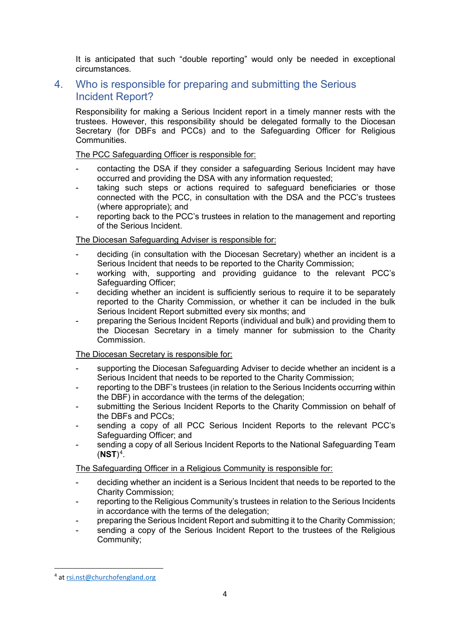It is anticipated that such "double reporting" would only be needed in exceptional circumstances.

## 4. Who is responsible for preparing and submitting the Serious Incident Report?

Responsibility for making a Serious Incident report in a timely manner rests with the trustees. However, this responsibility should be delegated formally to the Diocesan Secretary (for DBFs and PCCs) and to the Safeguarding Officer for Religious **Communities** 

#### The PCC Safeguarding Officer is responsible for:

- contacting the DSA if they consider a safeguarding Serious Incident may have occurred and providing the DSA with any information requested;
- taking such steps or actions required to safeguard beneficiaries or those connected with the PCC, in consultation with the DSA and the PCC's trustees (where appropriate); and
- reporting back to the PCC's trustees in relation to the management and reporting of the Serious Incident.

#### The Diocesan Safeguarding Adviser is responsible for:

- deciding (in consultation with the Diocesan Secretary) whether an incident is a Serious Incident that needs to be reported to the Charity Commission;
- working with, supporting and providing guidance to the relevant PCC's Safeguarding Officer;
- deciding whether an incident is sufficiently serious to require it to be separately reported to the Charity Commission, or whether it can be included in the bulk Serious Incident Report submitted every six months; and
- preparing the Serious Incident Reports (individual and bulk) and providing them to the Diocesan Secretary in a timely manner for submission to the Charity Commission.

#### The Diocesan Secretary is responsible for:

- supporting the Diocesan Safeguarding Adviser to decide whether an incident is a Serious Incident that needs to be reported to the Charity Commission;
- reporting to the DBF's trustees (in relation to the Serious Incidents occurring within the DBF) in accordance with the terms of the delegation;
- submitting the Serious Incident Reports to the Charity Commission on behalf of the DBFs and PCCs;
- sending a copy of all PCC Serious Incident Reports to the relevant PCC's Safeguarding Officer; and
- sending a copy of all Serious Incident Reports to the National Safeguarding Team  $(NST)^4$  $(NST)^4$ .

The Safeguarding Officer in a Religious Community is responsible for:

- deciding whether an incident is a Serious Incident that needs to be reported to the Charity Commission;
- reporting to the Religious Community's trustees in relation to the Serious Incidents in accordance with the terms of the delegation;
- preparing the Serious Incident Report and submitting it to the Charity Commission;
- sending a copy of the Serious Incident Report to the trustees of the Religious Community;

<span id="page-3-0"></span> <sup>4</sup> at [rsi.nst@churchofengland.org](mailto:rsi.nst@churchofengland.org)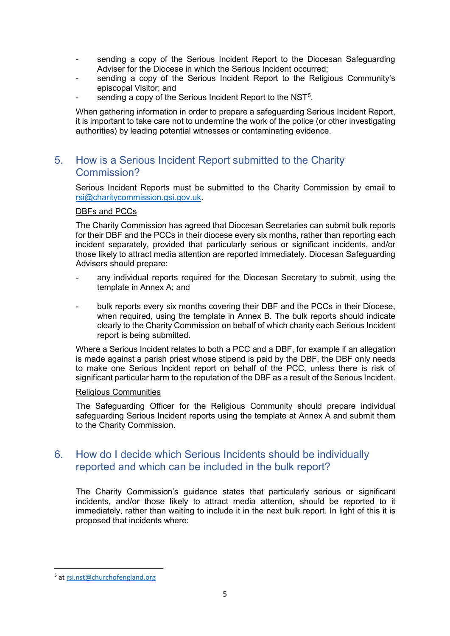- sending a copy of the Serious Incident Report to the Diocesan Safeguarding Adviser for the Diocese in which the Serious Incident occurred;
- sending a copy of the Serious Incident Report to the Religious Community's episcopal Visitor; and
- sending a copy of the Serious Incident Report to the NST $^5$  $^5$ .

When gathering information in order to prepare a safeguarding Serious Incident Report, it is important to take care not to undermine the work of the police (or other investigating authorities) by leading potential witnesses or contaminating evidence.

## 5. How is a Serious Incident Report submitted to the Charity Commission?

Serious Incident Reports must be submitted to the Charity Commission by email to [rsi@charitycommission.gsi.gov.uk.](mailto:rsi@charitycommission.gsi.gov.uk)

#### DBFs and PCCs

The Charity Commission has agreed that Diocesan Secretaries can submit bulk reports for their DBF and the PCCs in their diocese every six months, rather than reporting each incident separately, provided that particularly serious or significant incidents, and/or those likely to attract media attention are reported immediately. Diocesan Safeguarding Advisers should prepare:

- any individual reports required for the Diocesan Secretary to submit, using the template in Annex A; and
- bulk reports every six months covering their DBF and the PCCs in their Diocese, when required, using the template in Annex B. The bulk reports should indicate clearly to the Charity Commission on behalf of which charity each Serious Incident report is being submitted.

Where a Serious Incident relates to both a PCC and a DBF, for example if an allegation is made against a parish priest whose stipend is paid by the DBF, the DBF only needs to make one Serious Incident report on behalf of the PCC, unless there is risk of significant particular harm to the reputation of the DBF as a result of the Serious Incident.

#### Religious Communities

The Safeguarding Officer for the Religious Community should prepare individual safeguarding Serious Incident reports using the template at Annex A and submit them to the Charity Commission.

## 6. How do I decide which Serious Incidents should be individually reported and which can be included in the bulk report?

The Charity Commission's guidance states that particularly serious or significant incidents, and/or those likely to attract media attention, should be reported to it immediately, rather than waiting to include it in the next bulk report. In light of this it is proposed that incidents where:

<span id="page-4-0"></span> <sup>5</sup> at [rsi.nst@churchofengland.org](mailto:rsi.nst@churchofengland.org)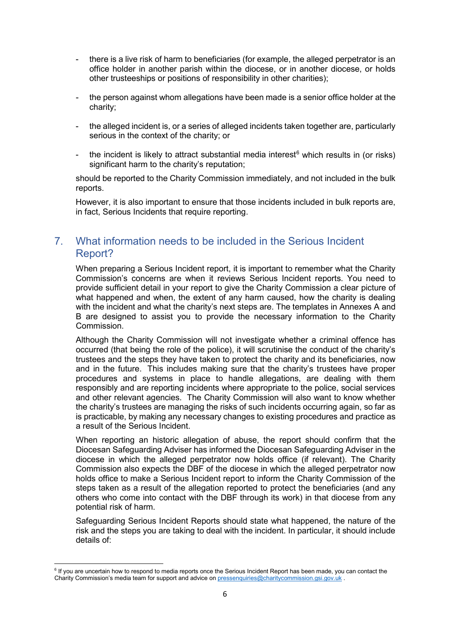- there is a live risk of harm to beneficiaries (for example, the alleged perpetrator is an office holder in another parish within the diocese, or in another diocese, or holds other trusteeships or positions of responsibility in other charities);
- the person against whom allegations have been made is a senior office holder at the charity;
- the alleged incident is, or a series of alleged incidents taken together are, particularly serious in the context of the charity; or
- the incident is likely to attract substantial media interest<sup>[6](#page-5-0)</sup> which results in (or risks) significant harm to the charity's reputation:

should be reported to the Charity Commission immediately, and not included in the bulk reports.

However, it is also important to ensure that those incidents included in bulk reports are, in fact, Serious Incidents that require reporting.

## 7. What information needs to be included in the Serious Incident Report?

When preparing a Serious Incident report, it is important to remember what the Charity Commission's concerns are when it reviews Serious Incident reports. You need to provide sufficient detail in your report to give the Charity Commission a clear picture of what happened and when, the extent of any harm caused, how the charity is dealing with the incident and what the charity's next steps are. The templates in Annexes A and B are designed to assist you to provide the necessary information to the Charity Commission.

Although the Charity Commission will not investigate whether a criminal offence has occurred (that being the role of the police), it will scrutinise the conduct of the charity's trustees and the steps they have taken to protect the charity and its beneficiaries, now and in the future. This includes making sure that the charity's trustees have proper procedures and systems in place to handle allegations, are dealing with them responsibly and are reporting incidents where appropriate to the police, social services and other relevant agencies. The Charity Commission will also want to know whether the charity's trustees are managing the risks of such incidents occurring again, so far as is practicable, by making any necessary changes to existing procedures and practice as a result of the Serious Incident.

When reporting an historic allegation of abuse, the report should confirm that the Diocesan Safeguarding Adviser has informed the Diocesan Safeguarding Adviser in the diocese in which the alleged perpetrator now holds office (if relevant). The Charity Commission also expects the DBF of the diocese in which the alleged perpetrator now holds office to make a Serious Incident report to inform the Charity Commission of the steps taken as a result of the allegation reported to protect the beneficiaries (and any others who come into contact with the DBF through its work) in that diocese from any potential risk of harm.

Safeguarding Serious Incident Reports should state what happened, the nature of the risk and the steps you are taking to deal with the incident. In particular, it should include details of:

<u>.</u>

<span id="page-5-0"></span><sup>&</sup>lt;sup>6</sup> If you are uncertain how to respond to media reports once the Serious Incident Report has been made, you can contact the Charity Commission's media team for support and advice on **pressenquiries@charitycommission.gsi.gov.uk** .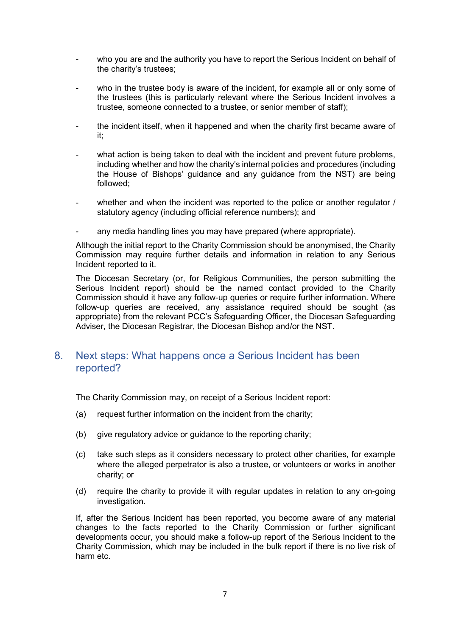- who you are and the authority you have to report the Serious Incident on behalf of the charity's trustees;
- who in the trustee body is aware of the incident, for example all or only some of the trustees (this is particularly relevant where the Serious Incident involves a trustee, someone connected to a trustee, or senior member of staff);
- the incident itself, when it happened and when the charity first became aware of it;
- what action is being taken to deal with the incident and prevent future problems. including whether and how the charity's internal policies and procedures (including the House of Bishops' guidance and any guidance from the NST) are being followed;
- whether and when the incident was reported to the police or another regulator / statutory agency (including official reference numbers); and
- any media handling lines you may have prepared (where appropriate).

Although the initial report to the Charity Commission should be anonymised, the Charity Commission may require further details and information in relation to any Serious Incident reported to it.

The Diocesan Secretary (or, for Religious Communities, the person submitting the Serious Incident report) should be the named contact provided to the Charity Commission should it have any follow-up queries or require further information. Where follow-up queries are received, any assistance required should be sought (as appropriate) from the relevant PCC's Safeguarding Officer, the Diocesan Safeguarding Adviser, the Diocesan Registrar, the Diocesan Bishop and/or the NST.

### 8. Next steps: What happens once a Serious Incident has been reported?

The Charity Commission may, on receipt of a Serious Incident report:

- (a) request further information on the incident from the charity;
- (b) give regulatory advice or guidance to the reporting charity;
- (c) take such steps as it considers necessary to protect other charities, for example where the alleged perpetrator is also a trustee, or volunteers or works in another charity; or
- (d) require the charity to provide it with regular updates in relation to any on-going investigation.

If, after the Serious Incident has been reported, you become aware of any material changes to the facts reported to the Charity Commission or further significant developments occur, you should make a follow-up report of the Serious Incident to the Charity Commission, which may be included in the bulk report if there is no live risk of harm etc.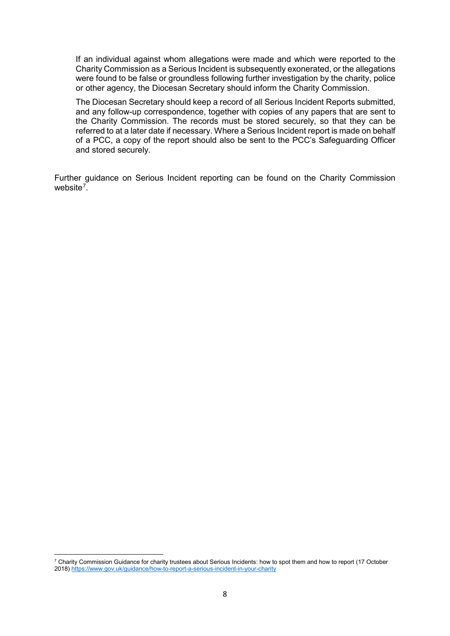If an individual against whom allegations were made and which were reported to the Charity Commission as a Serious Incident is subsequently exonerated, or the allegations were found to be false or groundless following further investigation by the charity, police or other agency, the Diocesan Secretary should inform the Charity Commission.

The Diocesan Secretary should keep a record of all Serious Incident Reports submitted, and any follow-up correspondence, together with copies of any papers that are sent to the Charity Commission. The records must be stored securely, so that they can be referred to at a later date if necessary. Where a Serious Incident report is made on behalf of a PCC, a copy of the report should also be sent to the PCC's Safeguarding Officer and stored securely.

Further guidance on Serious Incident reporting can be found on the Charity Commission website<sup>[7](#page-7-0)</sup>.

<span id="page-7-0"></span> $7$  Charity Commission Guidance for charity trustees about Serious Incidents: how to spot them and how to report (17 October 2018[\) https://www.gov.uk/guidance/how-to-report-a-serious-incident-in-your-charity](https://www.gov.uk/guidance/how-to-report-a-serious-incident-in-your-charity)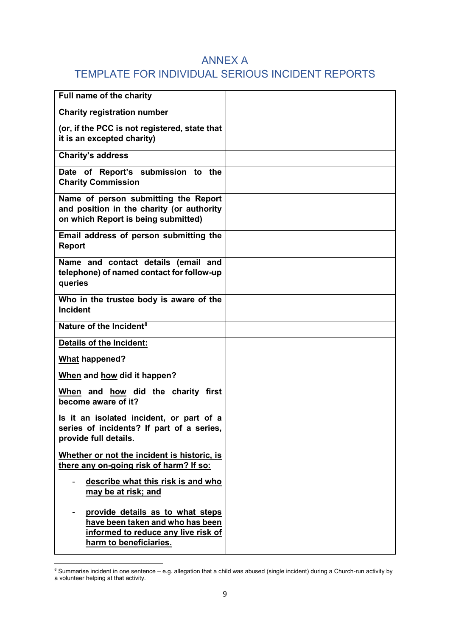## ANNEX A

## TEMPLATE FOR INDIVIDUAL SERIOUS INCIDENT REPORTS

| Full name of the charity                                                                                                 |  |
|--------------------------------------------------------------------------------------------------------------------------|--|
| <b>Charity registration number</b>                                                                                       |  |
| (or, if the PCC is not registered, state that<br>it is an excepted charity)                                              |  |
| <b>Charity's address</b>                                                                                                 |  |
| Date of Report's submission to the<br><b>Charity Commission</b>                                                          |  |
| Name of person submitting the Report<br>and position in the charity (or authority<br>on which Report is being submitted) |  |
| Email address of person submitting the<br><b>Report</b>                                                                  |  |
| Name and contact details (email and<br>telephone) of named contact for follow-up<br>queries                              |  |
| Who in the trustee body is aware of the<br><b>Incident</b>                                                               |  |
| Nature of the Incident <sup>8</sup>                                                                                      |  |
| <b>Details of the Incident:</b>                                                                                          |  |
| What happened?                                                                                                           |  |
|                                                                                                                          |  |
| When and how did it happen?                                                                                              |  |
| When and how did the charity first<br>become aware of it?                                                                |  |
| Is it an isolated incident, or part of a<br>series of incidents? If part of a series,<br>provide full details.           |  |
| Whether or not the incident is historic, is<br>there any on-going risk of harm? If so:                                   |  |
| describe what this risk is and who<br>may be at risk; and                                                                |  |

<span id="page-8-0"></span><sup>&</sup>lt;u>.</u>  $8$  Summarise incident in one sentence – e.g. allegation that a child was abused (single incident) during a Church-run activity by a volunteer helping at that activity.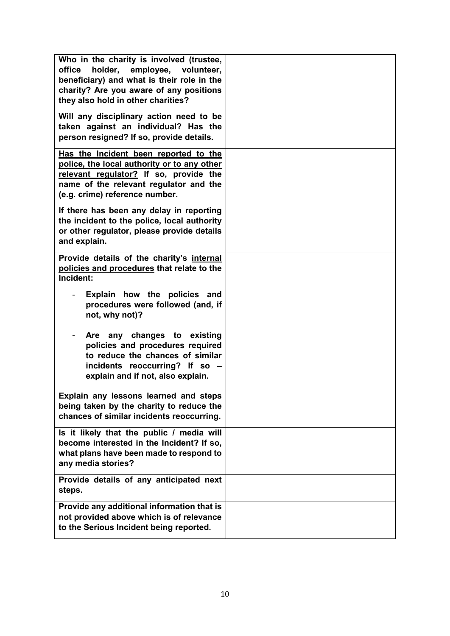| Who in the charity is involved (trustee,<br>holder, employee, volunteer,<br>office<br>beneficiary) and what is their role in the<br>charity? Are you aware of any positions<br>they also hold in other charities?<br>Will any disciplinary action need to be<br>taken against an individual? Has the<br>person resigned? If so, provide details. |  |
|--------------------------------------------------------------------------------------------------------------------------------------------------------------------------------------------------------------------------------------------------------------------------------------------------------------------------------------------------|--|
| Has the Incident been reported to the<br>police, the local authority or to any other<br>relevant regulator? If so, provide the<br>name of the relevant regulator and the<br>(e.g. crime) reference number.                                                                                                                                       |  |
| If there has been any delay in reporting<br>the incident to the police, local authority<br>or other regulator, please provide details<br>and explain.                                                                                                                                                                                            |  |
| Provide details of the charity's internal<br>policies and procedures that relate to the<br>Incident:                                                                                                                                                                                                                                             |  |
| Explain how the policies and<br>procedures were followed (and, if<br>not, why not)?                                                                                                                                                                                                                                                              |  |
| Are any changes to<br>existing<br>policies and procedures required<br>to reduce the chances of similar<br>incidents reoccurring? If so -<br>explain and if not, also explain.                                                                                                                                                                    |  |
| Explain any lessons learned and steps<br>being taken by the charity to reduce the<br>chances of similar incidents reoccurring.                                                                                                                                                                                                                   |  |
| Is it likely that the public / media will<br>become interested in the Incident? If so,<br>what plans have been made to respond to<br>any media stories?                                                                                                                                                                                          |  |
| Provide details of any anticipated next<br>steps.                                                                                                                                                                                                                                                                                                |  |
| Provide any additional information that is<br>not provided above which is of relevance<br>to the Serious Incident being reported.                                                                                                                                                                                                                |  |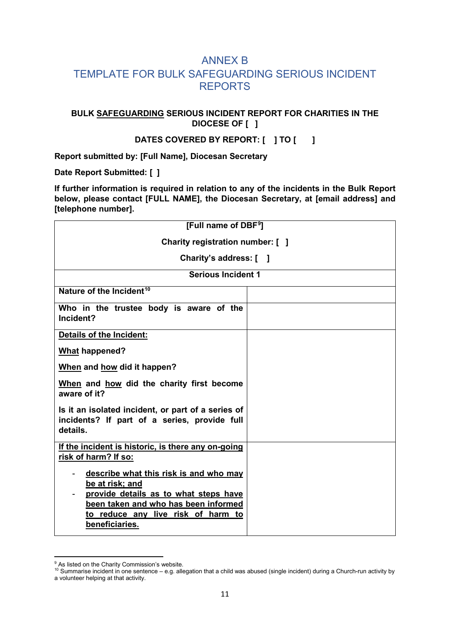## ANNEX B TEMPLATE FOR BULK SAFEGUARDING SERIOUS INCIDENT REPORTS

#### **BULK SAFEGUARDING SERIOUS INCIDENT REPORT FOR CHARITIES IN THE DIOCESE OF [ ]**

#### **DATES COVERED BY REPORT: [ ] TO [ ]**

**Report submitted by: [Full Name], Diocesan Secretary**

**Date Report Submitted: [ ]**

**If further information is required in relation to any of the incidents in the Bulk Report below, please contact [FULL NAME], the Diocesan Secretary, at [email address] and [telephone number].**

| [Full name of DBF <sup>9</sup> ]                                                                                                                                                                   |  |  |
|----------------------------------------------------------------------------------------------------------------------------------------------------------------------------------------------------|--|--|
| Charity registration number: [ ]                                                                                                                                                                   |  |  |
| Charity's address: [ ]                                                                                                                                                                             |  |  |
| <b>Serious Incident 1</b>                                                                                                                                                                          |  |  |
| Nature of the Incident <sup>10</sup>                                                                                                                                                               |  |  |
| Who in the trustee body is aware of the<br>Incident?                                                                                                                                               |  |  |
| <b>Details of the Incident:</b>                                                                                                                                                                    |  |  |
| <b>What happened?</b>                                                                                                                                                                              |  |  |
| When and how did it happen?                                                                                                                                                                        |  |  |
| When and how did the charity first become<br>aware of it?                                                                                                                                          |  |  |
| Is it an isolated incident, or part of a series of<br>incidents? If part of a series, provide full<br>details.                                                                                     |  |  |
| If the incident is historic, is there any on-going<br>risk of harm? If so:                                                                                                                         |  |  |
| describe what this risk is and who may<br>be at risk; and<br>provide details as to what steps have<br>been taken and who has been informed<br>to reduce any live risk of harm to<br>beneficiaries. |  |  |

<span id="page-10-0"></span><sup>&</sup>lt;sup>9</sup> As listed on the Charity Commission's website.

<span id="page-10-1"></span><sup>10</sup> Summarise incident in one sentence – e.g. allegation that a child was abused (single incident) during a Church-run activity by a volunteer helping at that activity.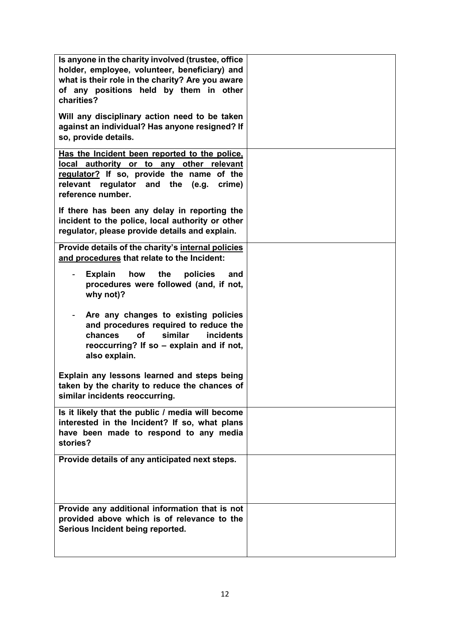| Is anyone in the charity involved (trustee, office<br>holder, employee, volunteer, beneficiary) and<br>what is their role in the charity? Are you aware<br>of any positions held by them in other<br>charities? |  |
|-----------------------------------------------------------------------------------------------------------------------------------------------------------------------------------------------------------------|--|
| Will any disciplinary action need to be taken<br>against an individual? Has anyone resigned? If<br>so, provide details.                                                                                         |  |
| Has the Incident been reported to the police,<br>local authority or to any other relevant<br>regulator? If so, provide the name of the<br>relevant regulator and the (e.g.<br>crime)<br>reference number.       |  |
| If there has been any delay in reporting the<br>incident to the police, local authority or other<br>regulator, please provide details and explain.                                                              |  |
| Provide details of the charity's internal policies<br>and procedures that relate to the Incident:                                                                                                               |  |
| how the<br><b>Explain</b><br>policies<br>and<br>procedures were followed (and, if not,<br>why not)?                                                                                                             |  |
| Are any changes to existing policies<br>and procedures required to reduce the<br>similar<br>chances<br><b>of</b><br><b>incidents</b><br>reoccurring? If so - explain and if not,<br>also explain.               |  |
| Explain any lessons learned and steps being<br>taken by the charity to reduce the chances of<br>similar incidents reoccurring.                                                                                  |  |
| Is it likely that the public / media will become<br>interested in the Incident? If so, what plans<br>have been made to respond to any media<br>stories?                                                         |  |
| Provide details of any anticipated next steps.                                                                                                                                                                  |  |
| Provide any additional information that is not<br>provided above which is of relevance to the<br>Serious Incident being reported.                                                                               |  |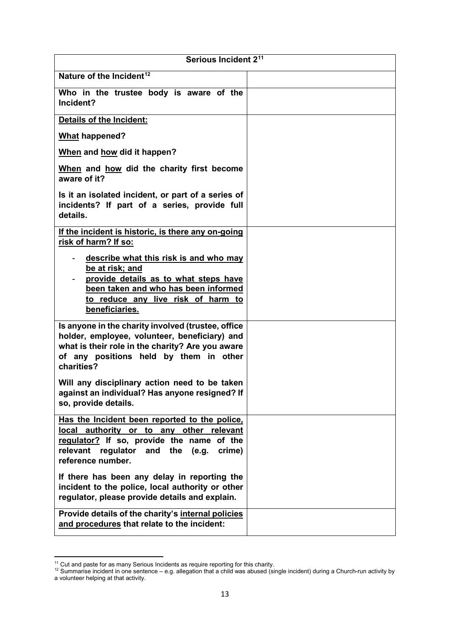| Serious Incident 2 <sup>11</sup>                                                                                                                                                                                                                                                                                   |  |
|--------------------------------------------------------------------------------------------------------------------------------------------------------------------------------------------------------------------------------------------------------------------------------------------------------------------|--|
| Nature of the Incident <sup>12</sup>                                                                                                                                                                                                                                                                               |  |
| Who in the trustee body is aware of the<br>Incident?                                                                                                                                                                                                                                                               |  |
| Details of the Incident:                                                                                                                                                                                                                                                                                           |  |
| <b>What happened?</b>                                                                                                                                                                                                                                                                                              |  |
| When and how did it happen?                                                                                                                                                                                                                                                                                        |  |
| When and how did the charity first become<br>aware of it?                                                                                                                                                                                                                                                          |  |
| Is it an isolated incident, or part of a series of<br>incidents? If part of a series, provide full<br>details.                                                                                                                                                                                                     |  |
| If the incident is historic, is there any on-going<br>risk of harm? If so:                                                                                                                                                                                                                                         |  |
| describe what this risk is and who may<br>$\sim$<br>be at risk; and<br>provide details as to what steps have<br>been taken and who has been informed<br>to reduce any live risk of harm to<br>beneficiaries.                                                                                                       |  |
| Is anyone in the charity involved (trustee, office<br>holder, employee, volunteer, beneficiary) and<br>what is their role in the charity? Are you aware<br>of any positions held by them in other<br>charities?<br>Will any disciplinary action need to be taken<br>against an individual? Has anyone resigned? If |  |
| so, provide details.                                                                                                                                                                                                                                                                                               |  |
| Has the Incident been reported to the police,<br>local<br>authority or to any other relevant<br>regulator? If so, provide the name of the<br>relevant regulator and the (e.g.<br>crime)<br>reference number.                                                                                                       |  |
| If there has been any delay in reporting the<br>incident to the police, local authority or other<br>regulator, please provide details and explain.                                                                                                                                                                 |  |
| Provide details of the charity's internal policies<br>and procedures that relate to the incident:                                                                                                                                                                                                                  |  |

<span id="page-12-0"></span> $11$  Cut and paste for as many Serious Incidents as require reporting for this charity.

<span id="page-12-1"></span><sup>&</sup>lt;sup>12</sup> Summarise incident in one sentence – e.g. allegation that a child was abused (single incident) during a Church-run activity by a volunteer helping at that activity.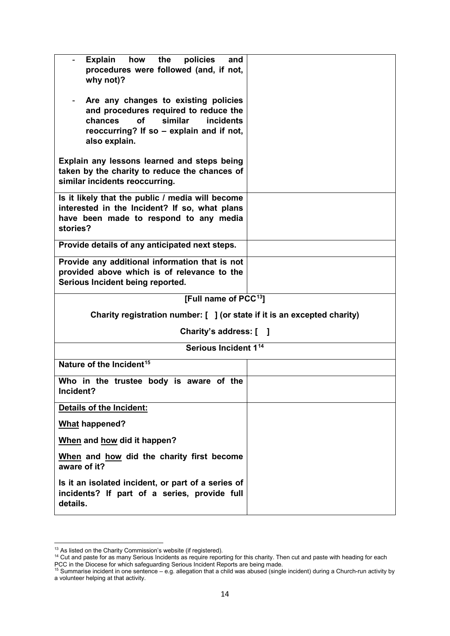| Explain how the<br>policies<br>and<br>procedures were followed (and, if not,<br>why not)?<br>Are any changes to existing policies<br>and procedures required to reduce the |  |  |
|----------------------------------------------------------------------------------------------------------------------------------------------------------------------------|--|--|
| chances<br>similar<br><b>of</b><br><i>incidents</i><br>reoccurring? If so – explain and if not,<br>also explain.                                                           |  |  |
| Explain any lessons learned and steps being<br>taken by the charity to reduce the chances of<br>similar incidents reoccurring.                                             |  |  |
| Is it likely that the public / media will become<br>interested in the Incident? If so, what plans<br>have been made to respond to any media<br>stories?                    |  |  |
| Provide details of any anticipated next steps.                                                                                                                             |  |  |
| Provide any additional information that is not<br>provided above which is of relevance to the<br>Serious Incident being reported.                                          |  |  |
| [Full name of PCC <sup>13</sup> ]                                                                                                                                          |  |  |
| Charity registration number: [ ] (or state if it is an excepted charity)                                                                                                   |  |  |
| Charity's address: [ ]                                                                                                                                                     |  |  |
| Serious Incident 1 <sup>14</sup>                                                                                                                                           |  |  |
| Nature of the Incident <sup>15</sup>                                                                                                                                       |  |  |
| Who in the trustee body is aware of the<br>Incident?                                                                                                                       |  |  |
| Details of the Incident:                                                                                                                                                   |  |  |
| <b>What happened?</b>                                                                                                                                                      |  |  |
| When and how did it happen?                                                                                                                                                |  |  |
| When and how did the charity first become<br>aware of it?                                                                                                                  |  |  |
| Is it an isolated incident, or part of a series of<br>incidents? If part of a series, provide full<br>details.                                                             |  |  |

<span id="page-13-0"></span> $13$  As listed on the Charity Commission's website (if registered).

<span id="page-13-1"></span><sup>&</sup>lt;sup>14</sup> Cut and paste for as many Serious Incidents as require reporting for this charity. Then cut and paste with heading for each PCC in the Diocese for which safeguarding Serious Incident Reports are being made.

<span id="page-13-2"></span><sup>15</sup> Summarise incident in one sentence – e.g. allegation that a child was abused (single incident) during a Church-run activity by a volunteer helping at that activity.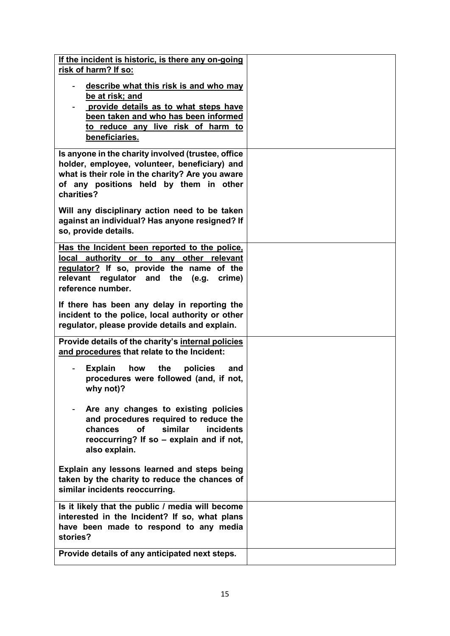| If the incident is historic, is there any on-going<br>risk of harm? If so:                                                                                                                                      |  |
|-----------------------------------------------------------------------------------------------------------------------------------------------------------------------------------------------------------------|--|
| describe what this risk is and who may<br>be at risk; and<br>provide details as to what steps have<br>been taken and who has been informed<br>to reduce any live risk of harm to<br>beneficiaries.              |  |
| Is anyone in the charity involved (trustee, office<br>holder, employee, volunteer, beneficiary) and<br>what is their role in the charity? Are you aware<br>of any positions held by them in other<br>charities? |  |
| Will any disciplinary action need to be taken<br>against an individual? Has anyone resigned? If<br>so, provide details.                                                                                         |  |
| Has the Incident been reported to the police,<br>local authority or to any other relevant<br>regulator? If so, provide the name of the<br>relevant regulator and the (e.g.<br>crime)<br>reference number.       |  |
| If there has been any delay in reporting the<br>incident to the police, local authority or other<br>regulator, please provide details and explain.                                                              |  |
| Provide details of the charity's internal policies<br>and procedures that relate to the Incident:                                                                                                               |  |
| <b>Explain</b><br>the<br>policies<br>how<br>and<br>procedures were followed (and, if not,<br>why not)?                                                                                                          |  |
| Are any changes to existing policies<br>and procedures required to reduce the<br><b>of</b><br>similar<br>chances<br><i>incidents</i><br>reoccurring? If so - explain and if not,<br>also explain.               |  |
| Explain any lessons learned and steps being<br>taken by the charity to reduce the chances of<br>similar incidents reoccurring.                                                                                  |  |
| Is it likely that the public / media will become<br>interested in the Incident? If so, what plans<br>have been made to respond to any media<br>stories?                                                         |  |
| Provide details of any anticipated next steps.                                                                                                                                                                  |  |